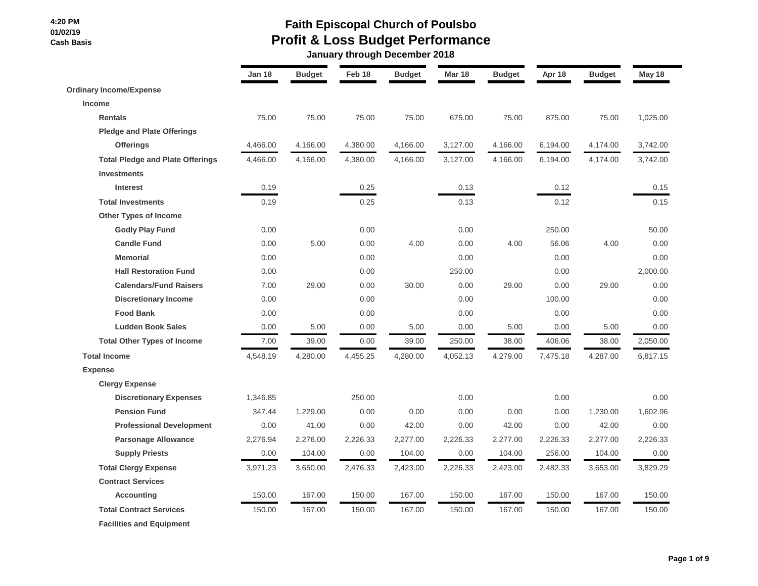# **Faith Episcopal Church of Poulsbo Profit & Loss Budget Performance**

 **January through December 2018**

|                                         | <b>Jan 18</b> | <b>Budget</b> | Feb 18   | <b>Budget</b> | <b>Mar 18</b> | <b>Budget</b> | Apr 18   | <b>Budget</b> | May 18   |
|-----------------------------------------|---------------|---------------|----------|---------------|---------------|---------------|----------|---------------|----------|
| <b>Ordinary Income/Expense</b>          |               |               |          |               |               |               |          |               |          |
| <b>Income</b>                           |               |               |          |               |               |               |          |               |          |
| <b>Rentals</b>                          | 75.00         | 75.00         | 75.00    | 75.00         | 675.00        | 75.00         | 875.00   | 75.00         | 1,025.00 |
| <b>Pledge and Plate Offerings</b>       |               |               |          |               |               |               |          |               |          |
| <b>Offerings</b>                        | 4,466.00      | 4,166.00      | 4,380.00 | 4,166.00      | 3,127.00      | 4,166.00      | 6,194.00 | 4,174.00      | 3,742.00 |
| <b>Total Pledge and Plate Offerings</b> | 4,466.00      | 4,166.00      | 4,380.00 | 4,166.00      | 3,127.00      | 4,166.00      | 6,194.00 | 4,174.00      | 3,742.00 |
| <b>Investments</b>                      |               |               |          |               |               |               |          |               |          |
| <b>Interest</b>                         | 0.19          |               | 0.25     |               | 0.13          |               | 0.12     |               | 0.15     |
| <b>Total Investments</b>                | 0.19          |               | 0.25     |               | 0.13          |               | 0.12     |               | 0.15     |
| <b>Other Types of Income</b>            |               |               |          |               |               |               |          |               |          |
| <b>Godly Play Fund</b>                  | 0.00          |               | 0.00     |               | 0.00          |               | 250.00   |               | 50.00    |
| <b>Candle Fund</b>                      | 0.00          | 5.00          | 0.00     | 4.00          | 0.00          | 4.00          | 56.06    | 4.00          | 0.00     |
| <b>Memorial</b>                         | 0.00          |               | 0.00     |               | 0.00          |               | 0.00     |               | 0.00     |
| <b>Hall Restoration Fund</b>            | 0.00          |               | 0.00     |               | 250.00        |               | 0.00     |               | 2,000.00 |
| <b>Calendars/Fund Raisers</b>           | 7.00          | 29.00         | 0.00     | 30.00         | 0.00          | 29.00         | 0.00     | 29.00         | 0.00     |
| <b>Discretionary Income</b>             | 0.00          |               | 0.00     |               | 0.00          |               | 100.00   |               | 0.00     |
| <b>Food Bank</b>                        | 0.00          |               | 0.00     |               | 0.00          |               | 0.00     |               | 0.00     |
| <b>Ludden Book Sales</b>                | 0.00          | 5.00          | 0.00     | 5.00          | 0.00          | 5.00          | 0.00     | 5.00          | 0.00     |
| <b>Total Other Types of Income</b>      | 7.00          | 39.00         | 0.00     | 39.00         | 250.00        | 38.00         | 406.06   | 38.00         | 2,050.00 |
| <b>Total Income</b>                     | 4,548.19      | 4,280.00      | 4,455.25 | 4,280.00      | 4,052.13      | 4,279.00      | 7,475.18 | 4,287.00      | 6,817.15 |
| <b>Expense</b>                          |               |               |          |               |               |               |          |               |          |
| <b>Clergy Expense</b>                   |               |               |          |               |               |               |          |               |          |
| <b>Discretionary Expenses</b>           | 1,346.85      |               | 250.00   |               | 0.00          |               | 0.00     |               | 0.00     |
| <b>Pension Fund</b>                     | 347.44        | 1,229.00      | 0.00     | 0.00          | 0.00          | 0.00          | 0.00     | 1,230.00      | 1,602.96 |
| <b>Professional Development</b>         | 0.00          | 41.00         | 0.00     | 42.00         | 0.00          | 42.00         | 0.00     | 42.00         | 0.00     |
| <b>Parsonage Allowance</b>              | 2,276.94      | 2,276.00      | 2,226.33 | 2,277.00      | 2,226.33      | 2,277.00      | 2,226.33 | 2,277.00      | 2,226.33 |
| <b>Supply Priests</b>                   | 0.00          | 104.00        | 0.00     | 104.00        | 0.00          | 104.00        | 256.00   | 104.00        | 0.00     |
| <b>Total Clergy Expense</b>             | 3,971.23      | 3,650.00      | 2,476.33 | 2,423.00      | 2,226.33      | 2,423.00      | 2,482.33 | 3,653.00      | 3,829.29 |
| <b>Contract Services</b>                |               |               |          |               |               |               |          |               |          |
| <b>Accounting</b>                       | 150.00        | 167.00        | 150.00   | 167.00        | 150.00        | 167.00        | 150.00   | 167.00        | 150.00   |
| <b>Total Contract Services</b>          | 150.00        | 167.00        | 150.00   | 167.00        | 150.00        | 167.00        | 150.00   | 167.00        | 150.00   |
| <b>Facilities and Equipment</b>         |               |               |          |               |               |               |          |               |          |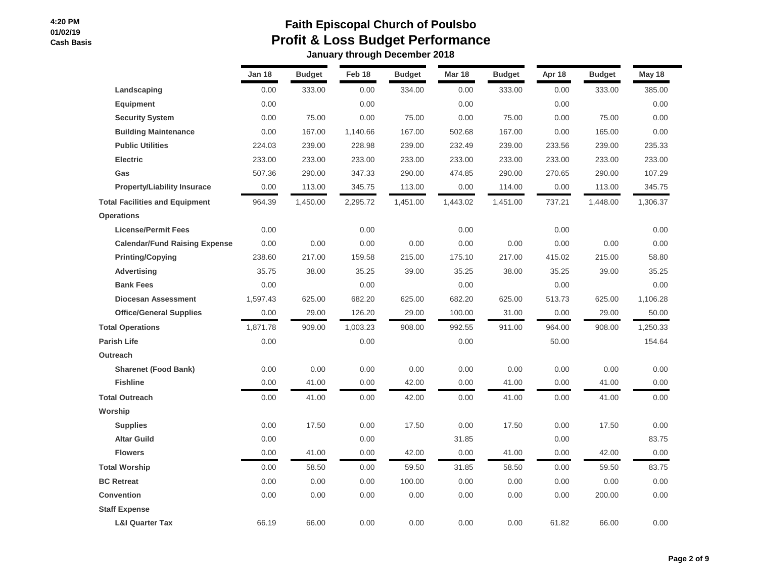|                                       | Jan 18   | <b>Budget</b> | Feb 18   | <b>Budget</b> | <b>Mar 18</b> | <b>Budget</b> | Apr 18 | <b>Budget</b> | May 18   |
|---------------------------------------|----------|---------------|----------|---------------|---------------|---------------|--------|---------------|----------|
| Landscaping                           | 0.00     | 333.00        | 0.00     | 334.00        | 0.00          | 333.00        | 0.00   | 333.00        | 385.00   |
| <b>Equipment</b>                      | 0.00     |               | 0.00     |               | 0.00          |               | 0.00   |               | 0.00     |
| <b>Security System</b>                | 0.00     | 75.00         | 0.00     | 75.00         | 0.00          | 75.00         | 0.00   | 75.00         | 0.00     |
| <b>Building Maintenance</b>           | 0.00     | 167.00        | 1,140.66 | 167.00        | 502.68        | 167.00        | 0.00   | 165.00        | 0.00     |
| <b>Public Utilities</b>               |          | 239.00        |          | 239.00        | 232.49        |               |        | 239.00        | 235.33   |
|                                       | 224.03   |               | 228.98   |               |               | 239.00        | 233.56 |               |          |
| <b>Electric</b>                       | 233.00   | 233.00        | 233.00   | 233.00        | 233.00        | 233.00        | 233.00 | 233.00        | 233.00   |
| Gas                                   | 507.36   | 290.00        | 347.33   | 290.00        | 474.85        | 290.00        | 270.65 | 290.00        | 107.29   |
| <b>Property/Liability Insurace</b>    | 0.00     | 113.00        | 345.75   | 113.00        | 0.00          | 114.00        | 0.00   | 113.00        | 345.75   |
| <b>Total Facilities and Equipment</b> | 964.39   | 1,450.00      | 2,295.72 | 1,451.00      | 1,443.02      | 1,451.00      | 737.21 | 1,448.00      | 1,306.37 |
| <b>Operations</b>                     |          |               |          |               |               |               |        |               |          |
| <b>License/Permit Fees</b>            | 0.00     |               | 0.00     |               | 0.00          |               | 0.00   |               | 0.00     |
| <b>Calendar/Fund Raising Expense</b>  | 0.00     | 0.00          | 0.00     | 0.00          | 0.00          | 0.00          | 0.00   | 0.00          | 0.00     |
| <b>Printing/Copying</b>               | 238.60   | 217.00        | 159.58   | 215.00        | 175.10        | 217.00        | 415.02 | 215.00        | 58.80    |
| <b>Advertising</b>                    | 35.75    | 38.00         | 35.25    | 39.00         | 35.25         | 38.00         | 35.25  | 39.00         | 35.25    |
| <b>Bank Fees</b>                      | 0.00     |               | 0.00     |               | 0.00          |               | 0.00   |               | 0.00     |
| <b>Diocesan Assessment</b>            | 1,597.43 | 625.00        | 682.20   | 625.00        | 682.20        | 625.00        | 513.73 | 625.00        | 1,106.28 |
| <b>Office/General Supplies</b>        | 0.00     | 29.00         | 126.20   | 29.00         | 100.00        | 31.00         | 0.00   | 29.00         | 50.00    |
| <b>Total Operations</b>               | 1,871.78 | 909.00        | 1,003.23 | 908.00        | 992.55        | 911.00        | 964.00 | 908.00        | 1,250.33 |
| <b>Parish Life</b>                    | 0.00     |               | 0.00     |               | 0.00          |               | 50.00  |               | 154.64   |
| <b>Outreach</b>                       |          |               |          |               |               |               |        |               |          |
| <b>Sharenet (Food Bank)</b>           | 0.00     | 0.00          | 0.00     | 0.00          | 0.00          | 0.00          | 0.00   | 0.00          | 0.00     |
| <b>Fishline</b>                       | 0.00     | 41.00         | 0.00     | 42.00         | 0.00          | 41.00         | 0.00   | 41.00         | 0.00     |
| <b>Total Outreach</b>                 | 0.00     | 41.00         | 0.00     | 42.00         | 0.00          | 41.00         | 0.00   | 41.00         | 0.00     |
| Worship                               |          |               |          |               |               |               |        |               |          |
| <b>Supplies</b>                       | 0.00     | 17.50         | 0.00     | 17.50         | 0.00          | 17.50         | 0.00   | 17.50         | 0.00     |
| <b>Altar Guild</b>                    | 0.00     |               | 0.00     |               | 31.85         |               | 0.00   |               | 83.75    |
| <b>Flowers</b>                        | 0.00     | 41.00         | 0.00     | 42.00         | 0.00          | 41.00         | 0.00   | 42.00         | 0.00     |
| <b>Total Worship</b>                  | 0.00     | 58.50         | 0.00     | 59.50         | 31.85         | 58.50         | 0.00   | 59.50         | 83.75    |
| <b>BC Retreat</b>                     | 0.00     | 0.00          | 0.00     | 100.00        | 0.00          | 0.00          | 0.00   | 0.00          | 0.00     |
| <b>Convention</b>                     | 0.00     | 0.00          | 0.00     | 0.00          | 0.00          | 0.00          | 0.00   | 200.00        | 0.00     |
| <b>Staff Expense</b>                  |          |               |          |               |               |               |        |               |          |
| <b>L&amp;I Quarter Tax</b>            | 66.19    | 66.00         | 0.00     | 0.00          | 0.00          | 0.00          | 61.82  | 66.00         | 0.00     |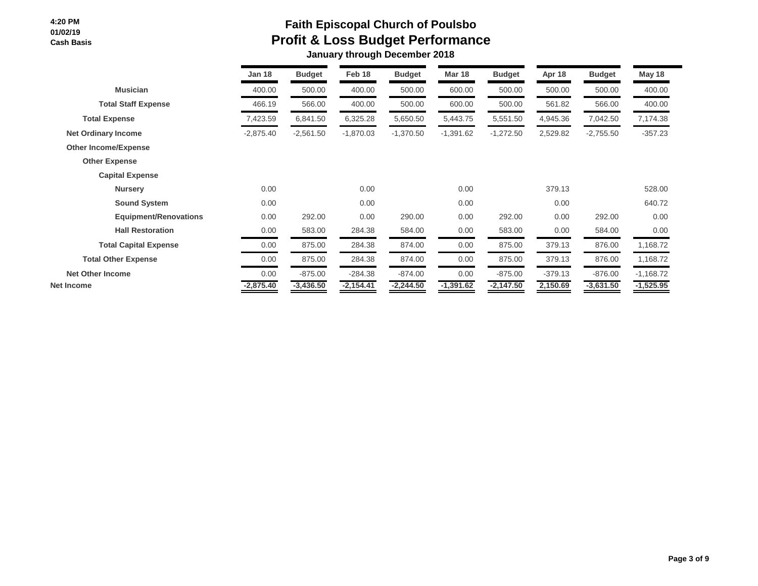|                              | <b>Jan 18</b> | <b>Budget</b> | Feb 18      | <b>Budget</b> | <b>Mar 18</b> | <b>Budget</b> | Apr 18    | <b>Budget</b> | May 18      |  |
|------------------------------|---------------|---------------|-------------|---------------|---------------|---------------|-----------|---------------|-------------|--|
| <b>Musician</b>              | 400.00        | 500.00        | 400.00      | 500.00        | 600.00        | 500.00        | 500.00    | 500.00        | 400.00      |  |
| <b>Total Staff Expense</b>   | 466.19        | 566.00        | 400.00      | 500.00        | 600.00        | 500.00        | 561.82    | 566.00        | 400.00      |  |
| <b>Total Expense</b>         | 7,423.59      | 6,841.50      | 6,325.28    | 5,650.50      | 5,443.75      | 5,551.50      | 4,945.36  | 7,042.50      | 7,174.38    |  |
| <b>Net Ordinary Income</b>   | $-2,875.40$   | $-2,561.50$   | $-1,870.03$ | $-1,370.50$   | $-1,391.62$   | $-1,272.50$   | 2,529.82  | $-2,755.50$   | $-357.23$   |  |
| <b>Other Income/Expense</b>  |               |               |             |               |               |               |           |               |             |  |
| <b>Other Expense</b>         |               |               |             |               |               |               |           |               |             |  |
| <b>Capital Expense</b>       |               |               |             |               |               |               |           |               |             |  |
| <b>Nursery</b>               | 0.00          |               | 0.00        |               | 0.00          |               | 379.13    |               | 528.00      |  |
| <b>Sound System</b>          | 0.00          |               | 0.00        |               | 0.00          |               | 0.00      |               | 640.72      |  |
| <b>Equipment/Renovations</b> | 0.00          | 292.00        | 0.00        | 290.00        | 0.00          | 292.00        | 0.00      | 292.00        | 0.00        |  |
| <b>Hall Restoration</b>      | 0.00          | 583.00        | 284.38      | 584.00        | 0.00          | 583.00        | 0.00      | 584.00        | 0.00        |  |
| <b>Total Capital Expense</b> | 0.00          | 875.00        | 284.38      | 874.00        | 0.00          | 875.00        | 379.13    | 876.00        | 1,168.72    |  |
| <b>Total Other Expense</b>   | 0.00          | 875.00        | 284.38      | 874.00        | 0.00          | 875.00        | 379.13    | 876.00        | 1,168.72    |  |
| <b>Net Other Income</b>      | 0.00          | $-875.00$     | $-284.38$   | $-874.00$     | 0.00          | $-875.00$     | $-379.13$ | $-876.00$     | $-1,168.72$ |  |
| Net Income                   | $-2,875.40$   | $-3,436.50$   | $-2,154.41$ | $-2,244.50$   | $-1,391.62$   | $-2,147.50$   | 2,150.69  | $-3,631.50$   | $-1,525.95$ |  |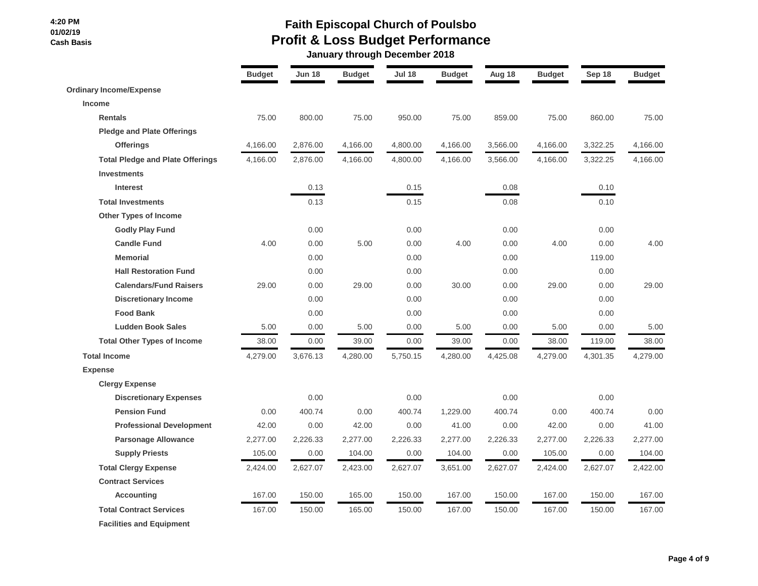# **Faith Episcopal Church of Poulsbo Profit & Loss Budget Performance**

 **January through December 2018**

|                                         | <b>Budget</b> | Jun 18   | <b>Budget</b> | <b>Jul 18</b> | <b>Budget</b> | Aug 18   | <b>Budget</b> | Sep 18   | <b>Budget</b> |
|-----------------------------------------|---------------|----------|---------------|---------------|---------------|----------|---------------|----------|---------------|
| <b>Ordinary Income/Expense</b>          |               |          |               |               |               |          |               |          |               |
| <b>Income</b>                           |               |          |               |               |               |          |               |          |               |
| <b>Rentals</b>                          | 75.00         | 800.00   | 75.00         | 950.00        | 75.00         | 859.00   | 75.00         | 860.00   | 75.00         |
| <b>Pledge and Plate Offerings</b>       |               |          |               |               |               |          |               |          |               |
| <b>Offerings</b>                        | 4,166.00      | 2,876.00 | 4,166.00      | 4,800.00      | 4,166.00      | 3,566.00 | 4,166.00      | 3,322.25 | 4,166.00      |
| <b>Total Pledge and Plate Offerings</b> | 4,166.00      | 2,876.00 | 4,166.00      | 4,800.00      | 4,166.00      | 3,566.00 | 4,166.00      | 3,322.25 | 4,166.00      |
| <b>Investments</b>                      |               |          |               |               |               |          |               |          |               |
| <b>Interest</b>                         |               | 0.13     |               | 0.15          |               | 0.08     |               | 0.10     |               |
| <b>Total Investments</b>                |               | 0.13     |               | 0.15          |               | 0.08     |               | 0.10     |               |
| Other Types of Income                   |               |          |               |               |               |          |               |          |               |
| <b>Godly Play Fund</b>                  |               | 0.00     |               | 0.00          |               | 0.00     |               | 0.00     |               |
| <b>Candle Fund</b>                      | 4.00          | 0.00     | 5.00          | 0.00          | 4.00          | 0.00     | 4.00          | 0.00     | 4.00          |
| <b>Memorial</b>                         |               | 0.00     |               | 0.00          |               | 0.00     |               | 119.00   |               |
| <b>Hall Restoration Fund</b>            |               | 0.00     |               | 0.00          |               | 0.00     |               | 0.00     |               |
| <b>Calendars/Fund Raisers</b>           | 29.00         | 0.00     | 29.00         | 0.00          | 30.00         | 0.00     | 29.00         | 0.00     | 29.00         |
| <b>Discretionary Income</b>             |               | 0.00     |               | 0.00          |               | 0.00     |               | 0.00     |               |
| <b>Food Bank</b>                        |               | 0.00     |               | 0.00          |               | 0.00     |               | 0.00     |               |
| <b>Ludden Book Sales</b>                | 5.00          | 0.00     | 5.00          | 0.00          | 5.00          | 0.00     | 5.00          | 0.00     | 5.00          |
| <b>Total Other Types of Income</b>      | 38.00         | 0.00     | 39.00         | 0.00          | 39.00         | 0.00     | 38.00         | 119.00   | 38.00         |
| <b>Total Income</b>                     | 4,279.00      | 3,676.13 | 4,280.00      | 5,750.15      | 4,280.00      | 4,425.08 | 4,279.00      | 4,301.35 | 4,279.00      |
| <b>Expense</b>                          |               |          |               |               |               |          |               |          |               |
| <b>Clergy Expense</b>                   |               |          |               |               |               |          |               |          |               |
| <b>Discretionary Expenses</b>           |               | 0.00     |               | 0.00          |               | 0.00     |               | 0.00     |               |
| <b>Pension Fund</b>                     | 0.00          | 400.74   | 0.00          | 400.74        | 1,229.00      | 400.74   | 0.00          | 400.74   | 0.00          |
| <b>Professional Development</b>         | 42.00         | 0.00     | 42.00         | 0.00          | 41.00         | 0.00     | 42.00         | 0.00     | 41.00         |
| <b>Parsonage Allowance</b>              | 2,277.00      | 2,226.33 | 2,277.00      | 2,226.33      | 2,277.00      | 2,226.33 | 2,277.00      | 2,226.33 | 2,277.00      |
| <b>Supply Priests</b>                   | 105.00        | 0.00     | 104.00        | 0.00          | 104.00        | 0.00     | 105.00        | 0.00     | 104.00        |
| <b>Total Clergy Expense</b>             | 2,424.00      | 2,627.07 | 2,423.00      | 2,627.07      | 3,651.00      | 2,627.07 | 2,424.00      | 2,627.07 | 2,422.00      |
| <b>Contract Services</b>                |               |          |               |               |               |          |               |          |               |
| <b>Accounting</b>                       | 167.00        | 150.00   | 165.00        | 150.00        | 167.00        | 150.00   | 167.00        | 150.00   | 167.00        |
| <b>Total Contract Services</b>          | 167.00        | 150.00   | 165.00        | 150.00        | 167.00        | 150.00   | 167.00        | 150.00   | 167.00        |
| <b>Facilities and Equipment</b>         |               |          |               |               |               |          |               |          |               |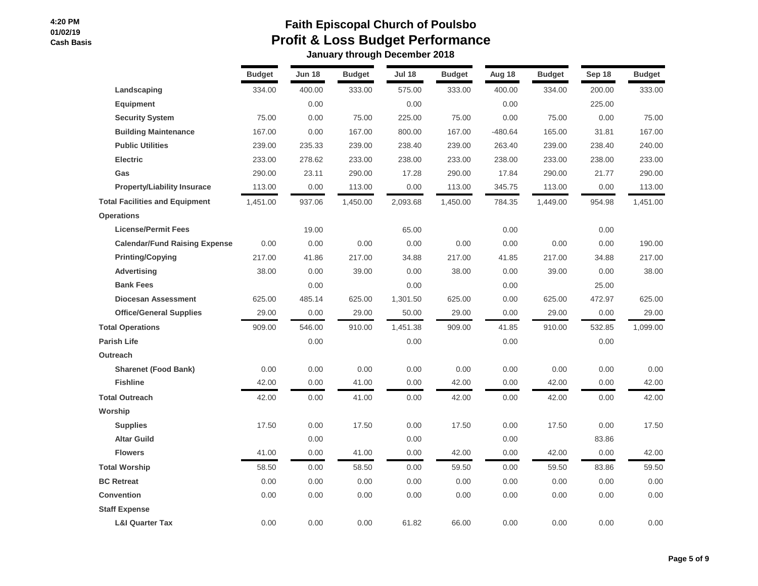|                                       | <b>Budget</b> | <b>Jun 18</b> | <b>Budget</b> | <b>Jul 18</b> | <b>Budget</b> | Aug 18    | <b>Budget</b> | Sep 18 | <b>Budget</b> |
|---------------------------------------|---------------|---------------|---------------|---------------|---------------|-----------|---------------|--------|---------------|
| Landscaping                           | 334.00        | 400.00        | 333.00        | 575.00        | 333.00        | 400.00    | 334.00        | 200.00 | 333.00        |
| <b>Equipment</b>                      |               | 0.00          |               | 0.00          |               | 0.00      |               | 225.00 |               |
| <b>Security System</b>                | 75.00         | 0.00          | 75.00         | 225.00        | 75.00         | 0.00      | 75.00         | 0.00   | 75.00         |
| <b>Building Maintenance</b>           | 167.00        | 0.00          | 167.00        | 800.00        | 167.00        | $-480.64$ | 165.00        | 31.81  | 167.00        |
| <b>Public Utilities</b>               | 239.00        | 235.33        | 239.00        | 238.40        | 239.00        | 263.40    | 239.00        | 238.40 | 240.00        |
| <b>Electric</b>                       | 233.00        | 278.62        | 233.00        | 238.00        | 233.00        | 238.00    | 233.00        | 238.00 | 233.00        |
| Gas                                   | 290.00        | 23.11         | 290.00        | 17.28         | 290.00        | 17.84     | 290.00        | 21.77  | 290.00        |
| <b>Property/Liability Insurace</b>    | 113.00        | 0.00          | 113.00        | 0.00          | 113.00        | 345.75    | 113.00        | 0.00   | 113.00        |
| <b>Total Facilities and Equipment</b> | 1,451.00      | 937.06        | 1,450.00      | 2,093.68      | 1,450.00      | 784.35    | 1,449.00      | 954.98 | 1,451.00      |
| <b>Operations</b>                     |               |               |               |               |               |           |               |        |               |
| <b>License/Permit Fees</b>            |               | 19.00         |               | 65.00         |               | 0.00      |               | 0.00   |               |
| <b>Calendar/Fund Raising Expense</b>  | 0.00          | 0.00          | 0.00          | 0.00          | 0.00          | 0.00      | 0.00          | 0.00   | 190.00        |
| <b>Printing/Copying</b>               | 217.00        | 41.86         | 217.00        | 34.88         | 217.00        | 41.85     | 217.00        | 34.88  | 217.00        |
| <b>Advertising</b>                    | 38.00         | 0.00          | 39.00         | 0.00          | 38.00         | 0.00      | 39.00         | 0.00   | 38.00         |
| <b>Bank Fees</b>                      |               | 0.00          |               | 0.00          |               | 0.00      |               | 25.00  |               |
| <b>Diocesan Assessment</b>            | 625.00        | 485.14        | 625.00        | 1,301.50      | 625.00        | 0.00      | 625.00        | 472.97 | 625.00        |
| <b>Office/General Supplies</b>        | 29.00         | 0.00          | 29.00         | 50.00         | 29.00         | 0.00      | 29.00         | 0.00   | 29.00         |
| <b>Total Operations</b>               | 909.00        | 546.00        | 910.00        | 1,451.38      | 909.00        | 41.85     | 910.00        | 532.85 | 1,099.00      |
| <b>Parish Life</b>                    |               | 0.00          |               | 0.00          |               | 0.00      |               | 0.00   |               |
| Outreach                              |               |               |               |               |               |           |               |        |               |
| <b>Sharenet (Food Bank)</b>           | 0.00          | 0.00          | 0.00          | 0.00          | 0.00          | 0.00      | 0.00          | 0.00   | 0.00          |
| <b>Fishline</b>                       | 42.00         | 0.00          | 41.00         | 0.00          | 42.00         | 0.00      | 42.00         | 0.00   | 42.00         |
| <b>Total Outreach</b>                 | 42.00         | 0.00          | 41.00         | 0.00          | 42.00         | 0.00      | 42.00         | 0.00   | 42.00         |
| Worship                               |               |               |               |               |               |           |               |        |               |
| <b>Supplies</b>                       | 17.50         | 0.00          | 17.50         | 0.00          | 17.50         | 0.00      | 17.50         | 0.00   | 17.50         |
| <b>Altar Guild</b>                    |               | 0.00          |               | 0.00          |               | 0.00      |               | 83.86  |               |
| <b>Flowers</b>                        | 41.00         | 0.00          | 41.00         | 0.00          | 42.00         | 0.00      | 42.00         | 0.00   | 42.00         |
| <b>Total Worship</b>                  | 58.50         | 0.00          | 58.50         | 0.00          | 59.50         | 0.00      | 59.50         | 83.86  | 59.50         |
| <b>BC Retreat</b>                     | 0.00          | 0.00          | 0.00          | 0.00          | 0.00          | 0.00      | 0.00          | 0.00   | 0.00          |
| <b>Convention</b>                     | 0.00          | 0.00          | 0.00          | 0.00          | 0.00          | 0.00      | 0.00          | 0.00   | 0.00          |
| <b>Staff Expense</b>                  |               |               |               |               |               |           |               |        |               |
| <b>L&amp;I Quarter Tax</b>            | 0.00          | 0.00          | 0.00          | 61.82         | 66.00         | 0.00      | 0.00          | 0.00   | 0.00          |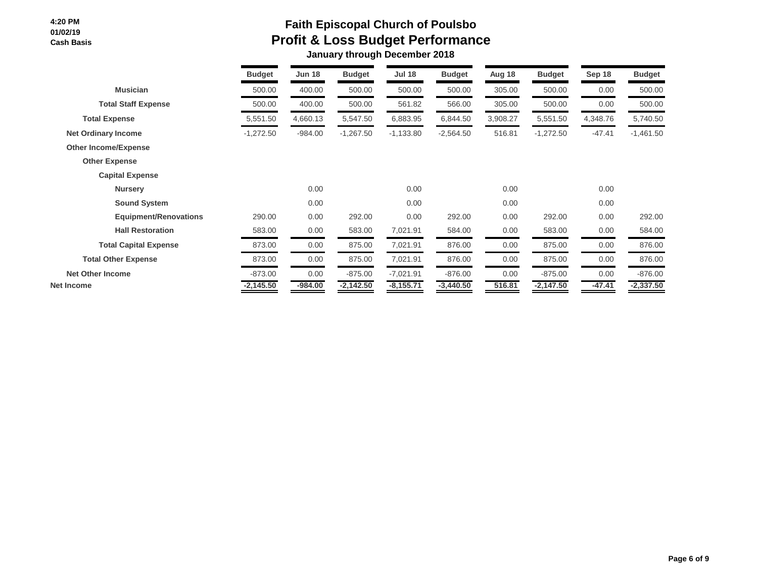|                              | <b>Budget</b> | <b>Jun 18</b> | <b>Budget</b> | <b>Jul 18</b> | <b>Budget</b> | Aug 18   | <b>Budget</b> | Sep 18   | <b>Budget</b> |
|------------------------------|---------------|---------------|---------------|---------------|---------------|----------|---------------|----------|---------------|
| <b>Musician</b>              | 500.00        | 400.00        | 500.00        | 500.00        | 500.00        | 305.00   | 500.00        | 0.00     | 500.00        |
| <b>Total Staff Expense</b>   | 500.00        | 400.00        | 500.00        | 561.82        | 566.00        | 305.00   | 500.00        | 0.00     | 500.00        |
| <b>Total Expense</b>         | 5,551.50      | 4,660.13      | 5,547.50      | 6,883.95      | 6,844.50      | 3,908.27 | 5,551.50      | 4,348.76 | 5,740.50      |
| <b>Net Ordinary Income</b>   | $-1,272.50$   | $-984.00$     | $-1,267.50$   | $-1,133.80$   | $-2,564.50$   | 516.81   | $-1,272.50$   | $-47.41$ | $-1,461.50$   |
| <b>Other Income/Expense</b>  |               |               |               |               |               |          |               |          |               |
| <b>Other Expense</b>         |               |               |               |               |               |          |               |          |               |
| <b>Capital Expense</b>       |               |               |               |               |               |          |               |          |               |
| <b>Nursery</b>               |               | 0.00          |               | 0.00          |               | 0.00     |               | 0.00     |               |
| <b>Sound System</b>          |               | 0.00          |               | 0.00          |               | 0.00     |               | 0.00     |               |
| <b>Equipment/Renovations</b> | 290.00        | 0.00          | 292.00        | 0.00          | 292.00        | 0.00     | 292.00        | 0.00     | 292.00        |
| <b>Hall Restoration</b>      | 583.00        | 0.00          | 583.00        | 7,021.91      | 584.00        | 0.00     | 583.00        | 0.00     | 584.00        |
| <b>Total Capital Expense</b> | 873.00        | 0.00          | 875.00        | 7,021.91      | 876.00        | 0.00     | 875.00        | 0.00     | 876.00        |
| <b>Total Other Expense</b>   | 873.00        | 0.00          | 875.00        | 7,021.91      | 876.00        | 0.00     | 875.00        | 0.00     | 876.00        |
| <b>Net Other Income</b>      | $-873.00$     | 0.00          | $-875.00$     | $-7,021.91$   | $-876.00$     | 0.00     | $-875.00$     | 0.00     | $-876.00$     |
| Net Income                   | $-2,145.50$   | $-984.00$     | $-2,142.50$   | $-8,155.71$   | $-3,440.50$   | 516.81   | $-2,147.50$   | $-47.41$ | $-2,337.50$   |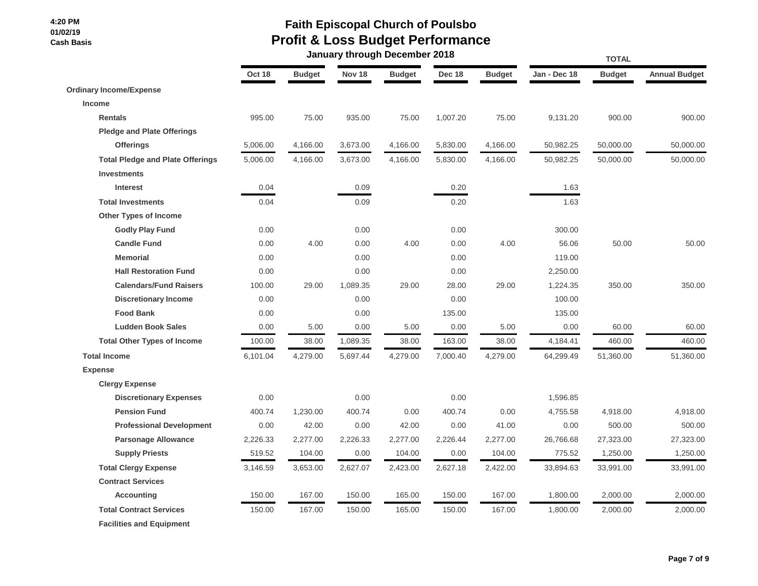## **Faith Episcopal Church of Poulsbo Profit & Loss Budget Performance**

|                                         |          |               |               | January through December 2018 |          | <b>TOTAL</b>  |              |               |                      |  |
|-----------------------------------------|----------|---------------|---------------|-------------------------------|----------|---------------|--------------|---------------|----------------------|--|
|                                         | Oct 18   | <b>Budget</b> | <b>Nov 18</b> | <b>Budget</b>                 | Dec 18   | <b>Budget</b> | Jan - Dec 18 | <b>Budget</b> | <b>Annual Budget</b> |  |
| <b>Ordinary Income/Expense</b>          |          |               |               |                               |          |               |              |               |                      |  |
| <b>Income</b>                           |          |               |               |                               |          |               |              |               |                      |  |
| <b>Rentals</b>                          | 995.00   | 75.00         | 935.00        | 75.00                         | 1,007.20 | 75.00         | 9,131.20     | 900.00        | 900.00               |  |
| <b>Pledge and Plate Offerings</b>       |          |               |               |                               |          |               |              |               |                      |  |
| <b>Offerings</b>                        | 5,006.00 | 4,166.00      | 3,673.00      | 4,166.00                      | 5,830.00 | 4,166.00      | 50,982.25    | 50,000.00     | 50,000.00            |  |
| <b>Total Pledge and Plate Offerings</b> | 5,006.00 | 4,166.00      | 3,673.00      | 4,166.00                      | 5,830.00 | 4,166.00      | 50,982.25    | 50,000.00     | 50,000.00            |  |
| <b>Investments</b>                      |          |               |               |                               |          |               |              |               |                      |  |
| <b>Interest</b>                         | 0.04     |               | 0.09          |                               | 0.20     |               | 1.63         |               |                      |  |
| <b>Total Investments</b>                | 0.04     |               | 0.09          |                               | 0.20     |               | 1.63         |               |                      |  |
| <b>Other Types of Income</b>            |          |               |               |                               |          |               |              |               |                      |  |
| <b>Godly Play Fund</b>                  | 0.00     |               | 0.00          |                               | 0.00     |               | 300.00       |               |                      |  |
| <b>Candle Fund</b>                      | 0.00     | 4.00          | 0.00          | 4.00                          | 0.00     | 4.00          | 56.06        | 50.00         | 50.00                |  |
| <b>Memorial</b>                         | 0.00     |               | 0.00          |                               | 0.00     |               | 119.00       |               |                      |  |
| <b>Hall Restoration Fund</b>            | 0.00     |               | 0.00          |                               | 0.00     |               | 2,250.00     |               |                      |  |
| <b>Calendars/Fund Raisers</b>           | 100.00   | 29.00         | 1,089.35      | 29.00                         | 28.00    | 29.00         | 1,224.35     | 350.00        | 350.00               |  |
| <b>Discretionary Income</b>             | 0.00     |               | 0.00          |                               | 0.00     |               | 100.00       |               |                      |  |
| <b>Food Bank</b>                        | 0.00     |               | 0.00          |                               | 135.00   |               | 135.00       |               |                      |  |
| <b>Ludden Book Sales</b>                | 0.00     | 5.00          | 0.00          | 5.00                          | 0.00     | 5.00          | 0.00         | 60.00         | 60.00                |  |
| <b>Total Other Types of Income</b>      | 100.00   | 38.00         | 1,089.35      | 38.00                         | 163.00   | 38.00         | 4,184.41     | 460.00        | 460.00               |  |
| <b>Total Income</b>                     | 6,101.04 | 4,279.00      | 5,697.44      | 4,279.00                      | 7,000.40 | 4,279.00      | 64,299.49    | 51,360.00     | 51,360.00            |  |
| <b>Expense</b>                          |          |               |               |                               |          |               |              |               |                      |  |
| <b>Clergy Expense</b>                   |          |               |               |                               |          |               |              |               |                      |  |
| <b>Discretionary Expenses</b>           | 0.00     |               | 0.00          |                               | 0.00     |               | 1,596.85     |               |                      |  |
| <b>Pension Fund</b>                     | 400.74   | 1,230.00      | 400.74        | 0.00                          | 400.74   | 0.00          | 4,755.58     | 4,918.00      | 4,918.00             |  |
| <b>Professional Development</b>         | 0.00     | 42.00         | 0.00          | 42.00                         | 0.00     | 41.00         | 0.00         | 500.00        | 500.00               |  |
| <b>Parsonage Allowance</b>              | 2,226.33 | 2,277.00      | 2,226.33      | 2,277.00                      | 2,226.44 | 2,277.00      | 26,766.68    | 27,323.00     | 27,323.00            |  |
| <b>Supply Priests</b>                   | 519.52   | 104.00        | 0.00          | 104.00                        | 0.00     | 104.00        | 775.52       | 1,250.00      | 1,250.00             |  |
| <b>Total Clergy Expense</b>             | 3,146.59 | 3,653.00      | 2,627.07      | 2,423.00                      | 2,627.18 | 2,422.00      | 33,894.63    | 33,991.00     | 33,991.00            |  |
| <b>Contract Services</b>                |          |               |               |                               |          |               |              |               |                      |  |
| <b>Accounting</b>                       | 150.00   | 167.00        | 150.00        | 165.00                        | 150.00   | 167.00        | 1,800.00     | 2,000.00      | 2,000.00             |  |
| <b>Total Contract Services</b>          | 150.00   | 167.00        | 150.00        | 165.00                        | 150.00   | 167.00        | 1,800.00     | 2,000.00      | 2,000.00             |  |
| <b>Facilities and Equipment</b>         |          |               |               |                               |          |               |              |               |                      |  |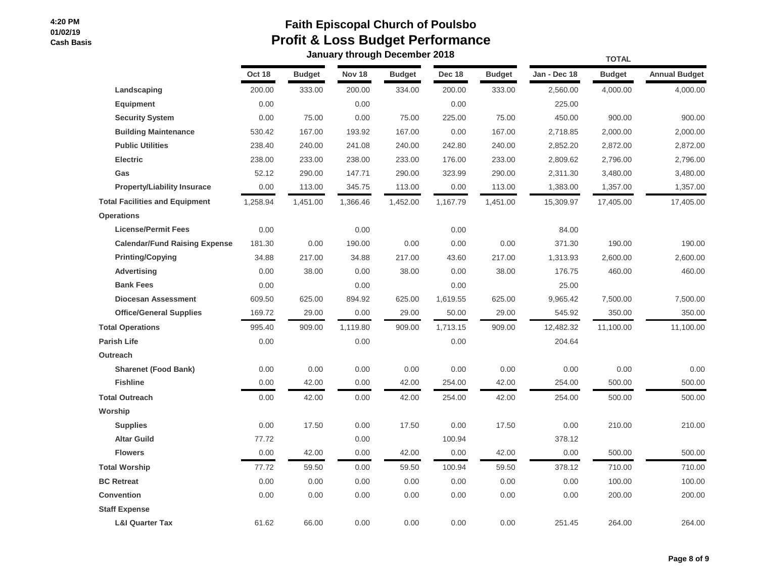|                                       |          |               |               | vanuary un'ough poocnibor |          |               |              | <b>TOTAL</b>  |                      |  |  |
|---------------------------------------|----------|---------------|---------------|---------------------------|----------|---------------|--------------|---------------|----------------------|--|--|
|                                       | Oct 18   | <b>Budget</b> | <b>Nov 18</b> | <b>Budget</b>             | Dec 18   | <b>Budget</b> | Jan - Dec 18 | <b>Budget</b> | <b>Annual Budget</b> |  |  |
| Landscaping                           | 200.00   | 333.00        | 200.00        | 334.00                    | 200.00   | 333.00        | 2,560.00     | 4,000.00      | 4,000.00             |  |  |
| <b>Equipment</b>                      | 0.00     |               | 0.00          |                           | 0.00     |               | 225.00       |               |                      |  |  |
| <b>Security System</b>                | 0.00     | 75.00         | 0.00          | 75.00                     | 225.00   | 75.00         | 450.00       | 900.00        | 900.00               |  |  |
| <b>Building Maintenance</b>           | 530.42   | 167.00        | 193.92        | 167.00                    | 0.00     | 167.00        | 2,718.85     | 2,000.00      | 2,000.00             |  |  |
| <b>Public Utilities</b>               | 238.40   | 240.00        | 241.08        | 240.00                    | 242.80   | 240.00        | 2,852.20     | 2,872.00      | 2,872.00             |  |  |
| <b>Electric</b>                       | 238.00   | 233.00        | 238.00        | 233.00                    | 176.00   | 233.00        | 2,809.62     | 2,796.00      | 2,796.00             |  |  |
| Gas                                   | 52.12    | 290.00        | 147.71        | 290.00                    | 323.99   | 290.00        | 2,311.30     | 3,480.00      | 3,480.00             |  |  |
| <b>Property/Liability Insurace</b>    | 0.00     | 113.00        | 345.75        | 113.00                    | 0.00     | 113.00        | 1,383.00     | 1,357.00      | 1,357.00             |  |  |
| <b>Total Facilities and Equipment</b> | 1,258.94 | 1,451.00      | 1,366.46      | 1,452.00                  | 1,167.79 | 1,451.00      | 15,309.97    | 17,405.00     | 17,405.00            |  |  |
| <b>Operations</b>                     |          |               |               |                           |          |               |              |               |                      |  |  |
| <b>License/Permit Fees</b>            | 0.00     |               | 0.00          |                           | 0.00     |               | 84.00        |               |                      |  |  |
| <b>Calendar/Fund Raising Expense</b>  | 181.30   | 0.00          | 190.00        | 0.00                      | 0.00     | 0.00          | 371.30       | 190.00        | 190.00               |  |  |
| <b>Printing/Copying</b>               | 34.88    | 217.00        | 34.88         | 217.00                    | 43.60    | 217.00        | 1,313.93     | 2,600.00      | 2,600.00             |  |  |
| <b>Advertising</b>                    | 0.00     | 38.00         | 0.00          | 38.00                     | 0.00     | 38.00         | 176.75       | 460.00        | 460.00               |  |  |
| <b>Bank Fees</b>                      | 0.00     |               | 0.00          |                           | 0.00     |               | 25.00        |               |                      |  |  |
| <b>Diocesan Assessment</b>            | 609.50   | 625.00        | 894.92        | 625.00                    | 1,619.55 | 625.00        | 9,965.42     | 7,500.00      | 7,500.00             |  |  |
| <b>Office/General Supplies</b>        | 169.72   | 29.00         | 0.00          | 29.00                     | 50.00    | 29.00         | 545.92       | 350.00        | 350.00               |  |  |
| <b>Total Operations</b>               | 995.40   | 909.00        | 1,119.80      | 909.00                    | 1,713.15 | 909.00        | 12,482.32    | 11,100.00     | 11,100.00            |  |  |
| Parish Life                           | 0.00     |               | 0.00          |                           | 0.00     |               | 204.64       |               |                      |  |  |
| Outreach                              |          |               |               |                           |          |               |              |               |                      |  |  |
| <b>Sharenet (Food Bank)</b>           | 0.00     | 0.00          | 0.00          | 0.00                      | 0.00     | 0.00          | 0.00         | 0.00          | 0.00                 |  |  |
| <b>Fishline</b>                       | 0.00     | 42.00         | 0.00          | 42.00                     | 254.00   | 42.00         | 254.00       | 500.00        | 500.00               |  |  |
| <b>Total Outreach</b>                 | 0.00     | 42.00         | 0.00          | 42.00                     | 254.00   | 42.00         | 254.00       | 500.00        | 500.00               |  |  |
| Worship                               |          |               |               |                           |          |               |              |               |                      |  |  |
| <b>Supplies</b>                       | 0.00     | 17.50         | 0.00          | 17.50                     | 0.00     | 17.50         | 0.00         | 210.00        | 210.00               |  |  |
| <b>Altar Guild</b>                    | 77.72    |               | 0.00          |                           | 100.94   |               | 378.12       |               |                      |  |  |
| <b>Flowers</b>                        | 0.00     | 42.00         | 0.00          | 42.00                     | 0.00     | 42.00         | 0.00         | 500.00        | 500.00               |  |  |
| <b>Total Worship</b>                  | 77.72    | 59.50         | 0.00          | 59.50                     | 100.94   | 59.50         | 378.12       | 710.00        | 710.00               |  |  |
| <b>BC Retreat</b>                     | 0.00     | 0.00          | 0.00          | 0.00                      | 0.00     | 0.00          | 0.00         | 100.00        | 100.00               |  |  |
| <b>Convention</b>                     | 0.00     | 0.00          | 0.00          | 0.00                      | 0.00     | 0.00          | 0.00         | 200.00        | 200.00               |  |  |
| <b>Staff Expense</b>                  |          |               |               |                           |          |               |              |               |                      |  |  |
| <b>L&amp;I Quarter Tax</b>            | 61.62    | 66.00         | 0.00          | 0.00                      | 0.00     | 0.00          | 251.45       | 264.00        | 264.00               |  |  |